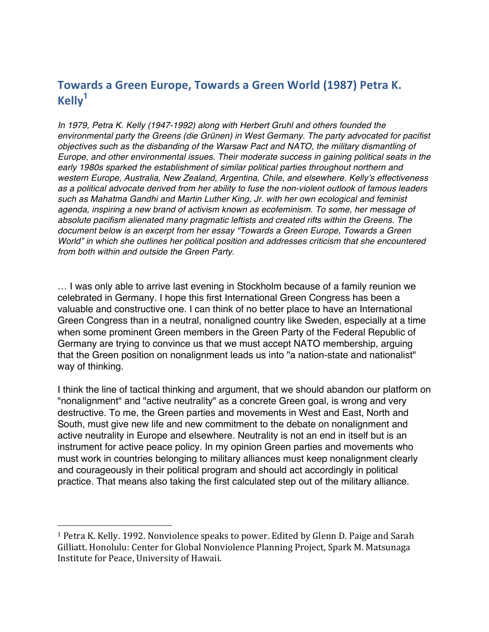## Towards a Green Europe, Towards a Green World (1987) Petra K. **Kelly<sup>1</sup>**

*In 1979, Petra K. Kelly (1947-1992) along with Herbert Gruhl and others founded the environmental party the Greens (die Grünen) in West Germany. The party advocated for pacifist objectives such as the disbanding of the Warsaw Pact and NATO, the military dismantling of Europe, and other environmental issues. Their moderate success in gaining political seats in the early 1980s sparked the establishment of similar political parties throughout northern and western Europe, Australia, New Zealand, Argentina, Chile, and elsewhere. Kelly's effectiveness as a political advocate derived from her ability to fuse the non-violent outlook of famous leaders such as Mahatma Gandhi and Martin Luther King, Jr. with her own ecological and feminist agenda, inspiring a new brand of activism known as ecofeminism. To some, her message of absolute pacifism alienated many pragmatic leftists and created rifts within the Greens. The document below is an excerpt from her essay "Towards a Green Europe, Towards a Green World" in which she outlines her political position and addresses criticism that she encountered from both within and outside the Green Party.*

… I was only able to arrive last evening in Stockholm because of a family reunion we celebrated in Germany. I hope this first International Green Congress has been a valuable and constructive one. I can think of no better place to have an International Green Congress than in a neutral, nonaligned country like Sweden, especially at a time when some prominent Green members in the Green Party of the Federal Republic of Germany are trying to convince us that we must accept NATO membership, arguing that the Green position on nonalignment leads us into "a nation-state and nationalist" way of thinking.

I think the line of tactical thinking and argument, that we should abandon our platform on "nonalignment" and "active neutrality" as a concrete Green goal, is wrong and very destructive. To me, the Green parties and movements in West and East, North and South, must give new life and new commitment to the debate on nonalignment and active neutrality in Europe and elsewhere. Neutrality is not an end in itself but is an instrument for active peace policy. In my opinion Green parties and movements who must work in countries belonging to military alliances must keep nonalignment clearly and courageously in their political program and should act accordingly in political practice. That means also taking the first calculated step out of the military alliance.

 

<sup>&</sup>lt;sup>1</sup> Petra K. Kelly. 1992. Nonviolence speaks to power. Edited by Glenn D. Paige and Sarah Gilliatt. Honolulu: Center for Global Nonviolence Planning Project, Spark M. Matsunaga Institute for Peace, University of Hawaii.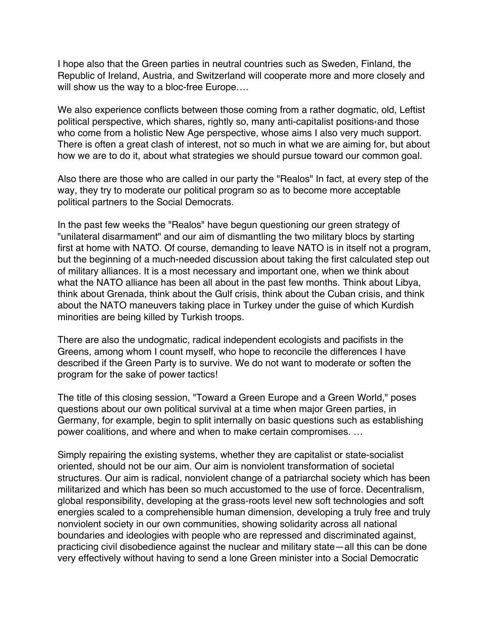I hope also that the Green parties in neutral countries such as Sweden, Finland, the Republic of Ireland, Austria, and Switzerland will cooperate more and more closely and will show us the way to a bloc-free Europe….

We also experience conflicts between those coming from a rather dogmatic, old, Leftist political perspective, which shares, rightly so, many anti-capitalist positions‹and those who come from a holistic New Age perspective, whose aims I also very much support. There is often a great clash of interest, not so much in what we are aiming for, but about how we are to do it, about what strategies we should pursue toward our common goal.

Also there are those who are called in our party the "Realos" In fact, at every step of the way, they try to moderate our political program so as to become more acceptable political partners to the Social Democrats.

In the past few weeks the "Realos" have begun questioning our green strategy of "unilateral disarmament" and our aim of dismantling the two military blocs by starting first at home with NATO. Of course, demanding to leave NATO is in itself not a program, but the beginning of a much-needed discussion about taking the first calculated step out of military alliances. It is a most necessary and important one, when we think about what the NATO alliance has been all about in the past few months. Think about Libya, think about Grenada, think about the Gulf crisis, think about the Cuban crisis, and think about the NATO maneuvers taking place in Turkey under the guise of which Kurdish minorities are being killed by Turkish troops.

There are also the undogmatic, radical independent ecologists and pacifists in the Greens, among whom I count myself, who hope to reconcile the differences I have described if the Green Party is to survive. We do not want to moderate or soften the program for the sake of power tactics!

The title of this closing session, "Toward a Green Europe and a Green World," poses questions about our own political survival at a time when major Green parties, in Germany, for example, begin to split internally on basic questions such as establishing power coalitions, and where and when to make certain compromises. …

Simply repairing the existing systems, whether they are capitalist or state-socialist oriented, should not be our aim. Our aim is nonviolent transformation of societal structures. Our aim is radical, nonviolent change of a patriarchal society which has been militarized and which has been so much accustomed to the use of force. Decentralism, global responsibility, developing at the grass-roots level new soft technologies and soft energies scaled to a comprehensible human dimension, developing a truly free and truly nonviolent society in our own communities, showing solidarity across all national boundaries and ideologies with people who are repressed and discriminated against, practicing civil disobedience against the nuclear and military state—all this can be done very effectively without having to send a lone Green minister into a Social Democratic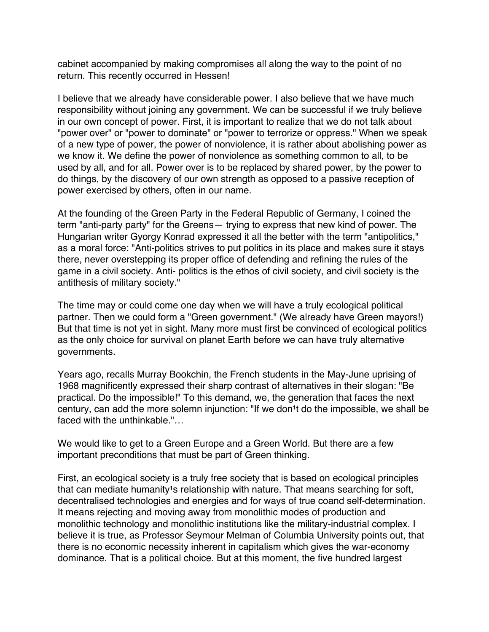cabinet accompanied by making compromises all along the way to the point of no return. This recently occurred in Hessen!

I believe that we already have considerable power. I also believe that we have much responsibility without joining any government. We can be successful if we truly believe in our own concept of power. First, it is important to realize that we do not talk about "power over" or "power to dominate" or "power to terrorize or oppress." When we speak of a new type of power, the power of nonviolence, it is rather about abolishing power as we know it. We define the power of nonviolence as something common to all, to be used by all, and for all. Power over is to be replaced by shared power, by the power to do things, by the discovery of our own strength as opposed to a passive reception of power exercised by others, often in our name.

At the founding of the Green Party in the Federal Republic of Germany, I coined the term "anti-party party" for the Greens— trying to express that new kind of power. The Hungarian writer Gyorgy Konrad expressed it all the better with the term "antipolitics," as a moral force: "Anti-politics strives to put politics in its place and makes sure it stays there, never overstepping its proper office of defending and refining the rules of the game in a civil society. Anti- politics is the ethos of civil society, and civil society is the antithesis of military society."

The time may or could come one day when we will have a truly ecological political partner. Then we could form a "Green government." (We already have Green mayors!) But that time is not yet in sight. Many more must first be convinced of ecological politics as the only choice for survival on planet Earth before we can have truly alternative governments.

Years ago, recalls Murray Bookchin, the French students in the May-June uprising of 1968 magnificently expressed their sharp contrast of alternatives in their slogan: "Be practical. Do the impossible!" To this demand, we, the generation that faces the next century, can add the more solemn injunction: "If we don<sup>1</sup>t do the impossible, we shall be faced with the unthinkable."…

We would like to get to a Green Europe and a Green World. But there are a few important preconditions that must be part of Green thinking.

First, an ecological society is a truly free society that is based on ecological principles that can mediate humanity<sup>1</sup>s relationship with nature. That means searching for soft, decentralised technologies and energies and for ways of true coand self-determination. It means rejecting and moving away from monolithic modes of production and monolithic technology and monolithic institutions like the military-industrial complex. I believe it is true, as Professor Seymour Melman of Columbia University points out, that there is no economic necessity inherent in capitalism which gives the war-economy dominance. That is a political choice. But at this moment, the five hundred largest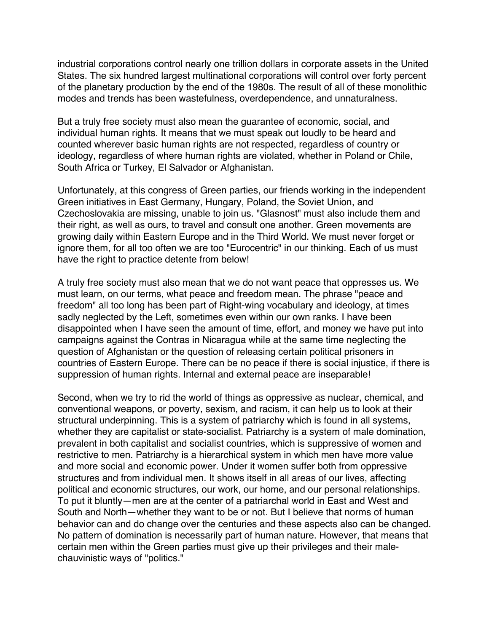industrial corporations control nearly one trillion dollars in corporate assets in the United States. The six hundred largest multinational corporations will control over forty percent of the planetary production by the end of the 1980s. The result of all of these monolithic modes and trends has been wastefulness, overdependence, and unnaturalness.

But a truly free society must also mean the guarantee of economic, social, and individual human rights. It means that we must speak out loudly to be heard and counted wherever basic human rights are not respected, regardless of country or ideology, regardless of where human rights are violated, whether in Poland or Chile, South Africa or Turkey, El Salvador or Afghanistan.

Unfortunately, at this congress of Green parties, our friends working in the independent Green initiatives in East Germany, Hungary, Poland, the Soviet Union, and Czechoslovakia are missing, unable to join us. "Glasnost" must also include them and their right, as well as ours, to travel and consult one another. Green movements are growing daily within Eastern Europe and in the Third World. We must never forget or ignore them, for all too often we are too "Eurocentric" in our thinking. Each of us must have the right to practice detente from below!

A truly free society must also mean that we do not want peace that oppresses us. We must learn, on our terms, what peace and freedom mean. The phrase "peace and freedom" all too long has been part of Right-wing vocabulary and ideology, at times sadly neglected by the Left, sometimes even within our own ranks. I have been disappointed when I have seen the amount of time, effort, and money we have put into campaigns against the Contras in Nicaragua while at the same time neglecting the question of Afghanistan or the question of releasing certain political prisoners in countries of Eastern Europe. There can be no peace if there is social injustice, if there is suppression of human rights. Internal and external peace are inseparable!

Second, when we try to rid the world of things as oppressive as nuclear, chemical, and conventional weapons, or poverty, sexism, and racism, it can help us to look at their structural underpinning. This is a system of patriarchy which is found in all systems, whether they are capitalist or state-socialist. Patriarchy is a system of male domination, prevalent in both capitalist and socialist countries, which is suppressive of women and restrictive to men. Patriarchy is a hierarchical system in which men have more value and more social and economic power. Under it women suffer both from oppressive structures and from individual men. It shows itself in all areas of our lives, affecting political and economic structures, our work, our home, and our personal relationships. To put it bluntly—men are at the center of a patriarchal world in East and West and South and North—whether they want to be or not. But I believe that norms of human behavior can and do change over the centuries and these aspects also can be changed. No pattern of domination is necessarily part of human nature. However, that means that certain men within the Green parties must give up their privileges and their malechauvinistic ways of "politics."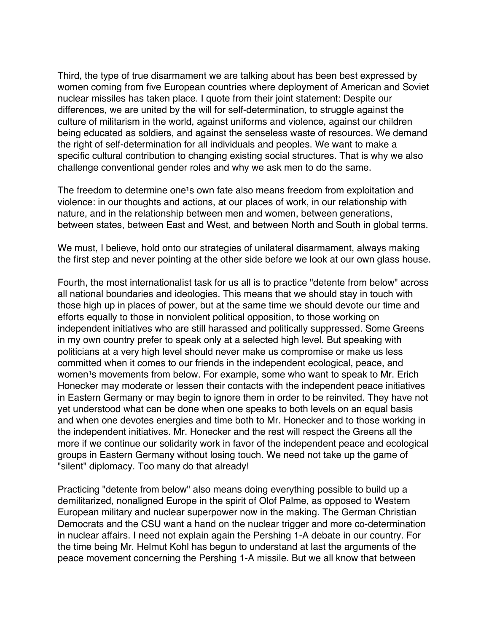Third, the type of true disarmament we are talking about has been best expressed by women coming from five European countries where deployment of American and Soviet nuclear missiles has taken place. I quote from their joint statement: Despite our differences, we are united by the will for self-determination, to struggle against the culture of militarism in the world, against uniforms and violence, against our children being educated as soldiers, and against the senseless waste of resources. We demand the right of self-determination for all individuals and peoples. We want to make a specific cultural contribution to changing existing social structures. That is why we also challenge conventional gender roles and why we ask men to do the same.

The freedom to determine one<sup>1</sup>s own fate also means freedom from exploitation and violence: in our thoughts and actions, at our places of work, in our relationship with nature, and in the relationship between men and women, between generations, between states, between East and West, and between North and South in global terms.

We must, I believe, hold onto our strategies of unilateral disarmament, always making the first step and never pointing at the other side before we look at our own glass house.

Fourth, the most internationalist task for us all is to practice "detente from below" across all national boundaries and ideologies. This means that we should stay in touch with those high up in places of power, but at the same time we should devote our time and efforts equally to those in nonviolent political opposition, to those working on independent initiatives who are still harassed and politically suppressed. Some Greens in my own country prefer to speak only at a selected high level. But speaking with politicians at a very high level should never make us compromise or make us less committed when it comes to our friends in the independent ecological, peace, and women<sup>1</sup>s movements from below. For example, some who want to speak to Mr. Erich Honecker may moderate or lessen their contacts with the independent peace initiatives in Eastern Germany or may begin to ignore them in order to be reinvited. They have not yet understood what can be done when one speaks to both levels on an equal basis and when one devotes energies and time both to Mr. Honecker and to those working in the independent initiatives. Mr. Honecker and the rest will respect the Greens all the more if we continue our solidarity work in favor of the independent peace and ecological groups in Eastern Germany without losing touch. We need not take up the game of "silent" diplomacy. Too many do that already!

Practicing "detente from below" also means doing everything possible to build up a demilitarized, nonaligned Europe in the spirit of Olof Palme, as opposed to Western European military and nuclear superpower now in the making. The German Christian Democrats and the CSU want a hand on the nuclear trigger and more co-determination in nuclear affairs. I need not explain again the Pershing 1-A debate in our country. For the time being Mr. Helmut Kohl has begun to understand at last the arguments of the peace movement concerning the Pershing 1-A missile. But we all know that between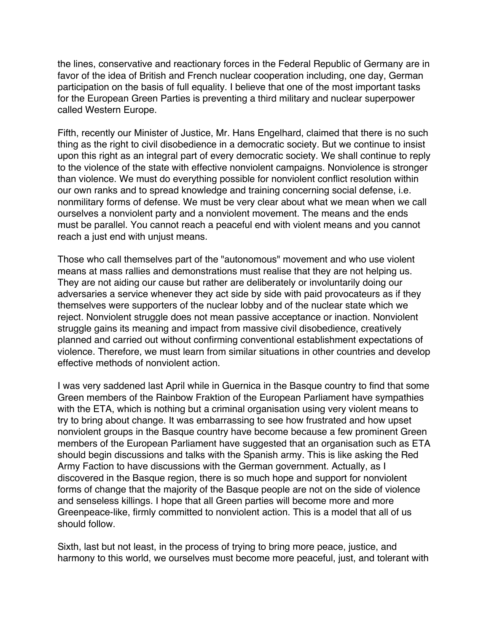the lines, conservative and reactionary forces in the Federal Republic of Germany are in favor of the idea of British and French nuclear cooperation including, one day, German participation on the basis of full equality. I believe that one of the most important tasks for the European Green Parties is preventing a third military and nuclear superpower called Western Europe.

Fifth, recently our Minister of Justice, Mr. Hans Engelhard, claimed that there is no such thing as the right to civil disobedience in a democratic society. But we continue to insist upon this right as an integral part of every democratic society. We shall continue to reply to the violence of the state with effective nonviolent campaigns. Nonviolence is stronger than violence. We must do everything possible for nonviolent conflict resolution within our own ranks and to spread knowledge and training concerning social defense, i.e. nonmilitary forms of defense. We must be very clear about what we mean when we call ourselves a nonviolent party and a nonviolent movement. The means and the ends must be parallel. You cannot reach a peaceful end with violent means and you cannot reach a just end with unjust means.

Those who call themselves part of the "autonomous" movement and who use violent means at mass rallies and demonstrations must realise that they are not helping us. They are not aiding our cause but rather are deliberately or involuntarily doing our adversaries a service whenever they act side by side with paid provocateurs as if they themselves were supporters of the nuclear lobby and of the nuclear state which we reject. Nonviolent struggle does not mean passive acceptance or inaction. Nonviolent struggle gains its meaning and impact from massive civil disobedience, creatively planned and carried out without confirming conventional establishment expectations of violence. Therefore, we must learn from similar situations in other countries and develop effective methods of nonviolent action.

I was very saddened last April while in Guernica in the Basque country to find that some Green members of the Rainbow Fraktion of the European Parliament have sympathies with the ETA, which is nothing but a criminal organisation using very violent means to try to bring about change. It was embarrassing to see how frustrated and how upset nonviolent groups in the Basque country have become because a few prominent Green members of the European Parliament have suggested that an organisation such as ETA should begin discussions and talks with the Spanish army. This is like asking the Red Army Faction to have discussions with the German government. Actually, as I discovered in the Basque region, there is so much hope and support for nonviolent forms of change that the majority of the Basque people are not on the side of violence and senseless killings. I hope that all Green parties will become more and more Greenpeace-like, firmly committed to nonviolent action. This is a model that all of us should follow.

Sixth, last but not least, in the process of trying to bring more peace, justice, and harmony to this world, we ourselves must become more peaceful, just, and tolerant with